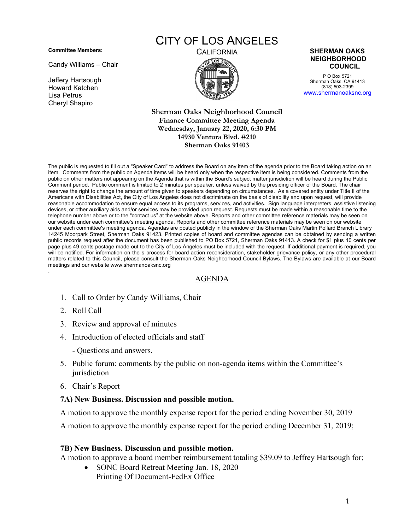**Committee Members:**

Candy Williams – Chair

Jeffery Hartsough Howard Katchen Lisa Petrus Cheryl Shapiro

# CITY OF LOS ANGELES



#### CALIFORNIA **SHERMAN OAKS NEIGHBORHOOD COUNCIL**

P O Box 5721 Sherman Oaks, CA 91413 (818) 503-2399 [www.shermanoaksnc.org](http://www.shermanoaksnc.org/)

**Sherman Oaks Neighborhood Council Finance Committee Meeting Agenda Wednesday, January 22, 2020, 6:30 PM 14930 Ventura Blvd. #210 Sherman Oaks 91403** 

The public is requested to fill out a "Speaker Card" to address the Board on any item of the agenda prior to the Board taking action on an item. Comments from the public on Agenda items will be heard only when the respective item is being considered. Comments from the public on other matters not appearing on the Agenda that is within the Board's subject matter jurisdiction will be heard during the Public Comment period. Public comment is limited to 2 minutes per speaker, unless waived by the presiding officer of the Board. The chair reserves the right to change the amount of time given to speakers depending on circumstances. As a covered entity under Title II of the Americans with Disabilities Act, the City of Los Angeles does not discriminate on the basis of disability and upon request, will provide reasonable accommodation to ensure equal access to its programs, services, and activities. Sign language interpreters, assistive listening devices, or other auxiliary aids and/or services may be provided upon request. Requests must be made within a reasonable time to the telephone number above or to the "contact us" at the website above. Reports and other committee reference materials may be seen on our website under each committee's meeting agenda. Reports and other committee reference materials may be seen on our website under each committee's meeting agenda. Agendas are posted publicly in the window of the Sherman Oaks Martin Pollard Branch Library 14245 Moorpark Street, Sherman Oaks 91423. Printed copies of board and committee agendas can be obtained by sending a written public records request after the document has been published to PO Box 5721, Sherman Oaks 91413. A check for \$1 plus 10 cents per page plus 49 cents postage made out to the City of Los Angeles must be included with the request. If additional payment is required, you will be notified. For information on the s process for board action reconsideration, stakeholder grievance policy, or any other procedural matters related to this Council, please consult the Sherman Oaks Neighborhood Council Bylaws. The Bylaws are available at our Board meetings and our website www.shermanoaksnc.org .

### AGENDA

- 1. Call to Order by Candy Williams, Chair
- 2. Roll Call
- 3. Review and approval of minutes
- 4. Introduction of elected officials and staff
	- Questions and answers.
- 5. Public forum: comments by the public on non-agenda items within the Committee's jurisdiction
- 6. Chair's Report

### **7A) New Business. Discussion and possible motion.**

A motion to approve the monthly expense report for the period ending November 30, 2019

A motion to approve the monthly expense report for the period ending December 31, 2019;

### **7B) New Business. Discussion and possible motion.**

A motion to approve a board member reimbursement totaling \$39.09 to Jeffrey Hartsough for;

• SONC Board Retreat Meeting Jan. 18, 2020 Printing Of Document-FedEx Office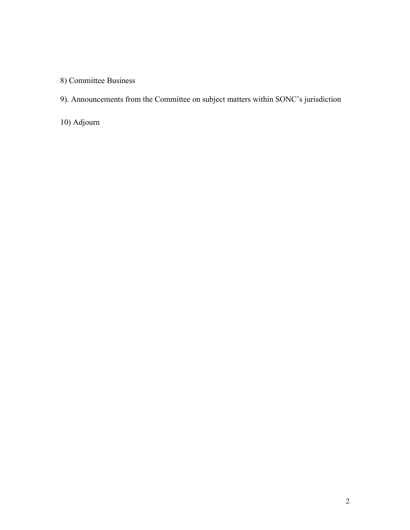8) Committee Business

9). Announcements from the Committee on subject matters within SONC's jurisdiction

10) Adjourn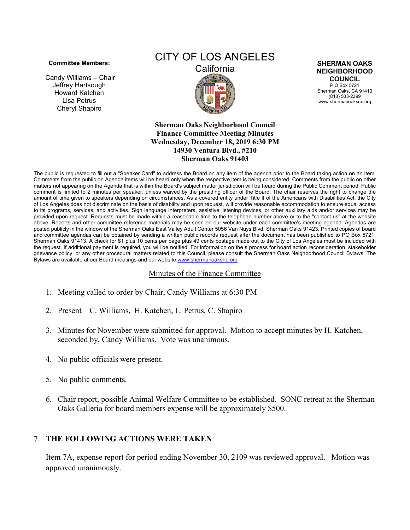#### **Committee Members:**

Candy Williams – Chair Jeffrey Hartsough Howard Katchen Lisa Petrus Cheryl Shapiro

# CITY OF LOS ANGELES



**SHERMAN OAKS NEIGHBORHOOD COUNCIL**

P O Box 5721 Sherman Oaks, CA 91413 (818) 503-2399 www.shermanoaksnc.org

**Sherman Oaks Neighborhood Council Finance Committee Meeting Minutes Wednesday, December 18, 2019 6:30 PM 14930 Ventura Blvd., #210 Sherman Oaks 91403**

The public is requested to fill out a "Speaker Card" to address the Board on any item of the agenda prior to the Board taking action on an item. Comments from the public on Agenda items will be heard only when the respective item is being considered. Comments from the public on other matters not appearing on the Agenda that is within the Board's subject matter jurisdiction will be heard during the Public Comment period. Public comment is limited to 2 minutes per speaker, unless waived by the presiding officer of the Board. The chair reserves the right to change the amount of time given to speakers depending on circumstances. As a covered entity under Title II of the Americans with Disabilities Act, the City of Los Angeles does not discriminate on the basis of disability and upon request, will provide reasonable accommodation to ensure equal access to its programs, services, and activities. Sign language interpreters, assistive listening devices, or other auxiliary aids and/or services may be provided upon request. Requests must be made within a reasonable time to the telephone number above or to the "contact us" at the website above. Reports and other committee reference materials may be seen on our website under each committee's meeting agenda. Agendas are posted publicly in the window of the Sherman Oaks East Valley Adult Center 5056 Van Nuys Blvd, Sherman Oaks 91423. Printed copies of board and committee agendas can be obtained by sending a written public records request after the document has been published to PO Box 5721, Sherman Oaks 91413. A check for \$1 plus 10 cents per page plus 49 cents postage made out to the City of Los Angeles must be included with the request. If additional payment is required, you will be notified. For information on the s process for board action reconsideration, stakeholder grievance policy, or any other procedural matters related to this Council, please consult the Sherman Oaks Neighborhood Council Bylaws. The Bylaws are available at our Board meetings and our websit[e www.shermanoaksnc.org](http://www.shermanoaksnc.org/)

### Minutes of the Finance Committee

- 1. Meeting called to order by Chair, Candy Williams at 6:30 PM
- 2. Present C. Williams, H. Katchen, L. Petrus, C. Shapiro
- 3. Minutes for November were submitted for approval. Motion to accept minutes by H. Katchen, seconded by, Candy Williams. Vote was unanimous.
- 4. No public officials were present.
- 5. No public comments.
- 6. Chair report, possible Animal Welfare Committee to be established. SONC retreat at the Sherman Oaks Galleria for board members expense will be approximately \$500.

## 7. **THE FOLLOWING ACTIONS WERE TAKEN**:

Item 7A, expense report for period ending November 30, 2109 was reviewed approval. Motion was approved unanimously.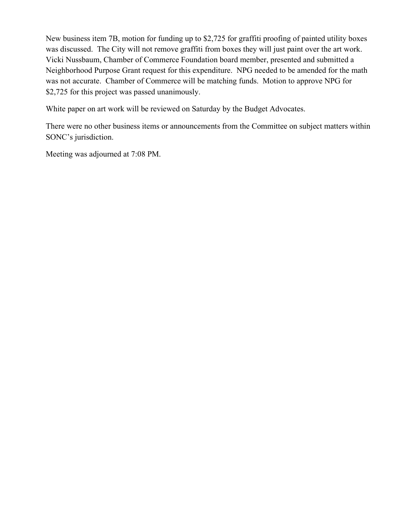New business item 7B, motion for funding up to \$2,725 for graffiti proofing of painted utility boxes was discussed. The City will not remove graffiti from boxes they will just paint over the art work. Vicki Nussbaum, Chamber of Commerce Foundation board member, presented and submitted a Neighborhood Purpose Grant request for this expenditure. NPG needed to be amended for the math was not accurate. Chamber of Commerce will be matching funds. Motion to approve NPG for \$2,725 for this project was passed unanimously.

White paper on art work will be reviewed on Saturday by the Budget Advocates.

There were no other business items or announcements from the Committee on subject matters within SONC's jurisdiction.

Meeting was adjourned at 7:08 PM.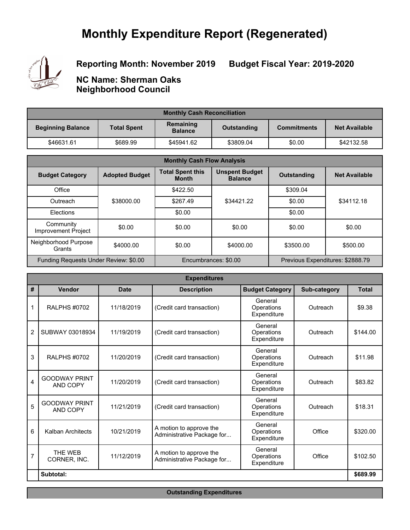# **Monthly Expenditure Report (Regenerated)**



## **Reporting Month: November 2019**

**Budget Fiscal Year: 2019-2020**

**NC Name: Sherman Oaks Neighborhood Council**

| <b>Monthly Cash Reconciliation</b> |                    |                             |             |                    |                      |  |  |
|------------------------------------|--------------------|-----------------------------|-------------|--------------------|----------------------|--|--|
| <b>Beginning Balance</b>           | <b>Total Spent</b> | Remaining<br><b>Balance</b> | Outstanding | <b>Commitments</b> | <b>Net Available</b> |  |  |
| \$46631.61                         | \$689.99           | \$45941.62                  | \$3809.04   | \$0.00             | \$42132.58           |  |  |

| <b>Monthly Cash Flow Analysis</b>       |                       |                                         |                                         |                                  |                      |  |  |
|-----------------------------------------|-----------------------|-----------------------------------------|-----------------------------------------|----------------------------------|----------------------|--|--|
| <b>Budget Category</b>                  | <b>Adopted Budget</b> | <b>Total Spent this</b><br><b>Month</b> | <b>Unspent Budget</b><br><b>Balance</b> | <b>Outstanding</b>               | <b>Net Available</b> |  |  |
| Office                                  |                       | \$422.50                                |                                         | \$309.04                         |                      |  |  |
| Outreach                                | \$38000.00            | \$267.49                                | \$34421.22                              | \$0.00                           | \$34112.18           |  |  |
| Elections                               |                       | \$0.00                                  |                                         | \$0.00                           |                      |  |  |
| Community<br><b>Improvement Project</b> | \$0.00                | \$0.00                                  | \$0.00                                  | \$0.00                           | \$0.00               |  |  |
| Neighborhood Purpose<br>Grants          | \$4000.00             | \$0.00                                  | \$4000.00                               | \$3500.00                        | \$500.00             |  |  |
| Funding Requests Under Review: \$0.00   |                       |                                         | Encumbrances: \$0.00                    | Previous Expenditures: \$2888.79 |                      |  |  |

| <b>Expenditures</b> |                                         |             |                                                       |                                      |              |              |  |  |
|---------------------|-----------------------------------------|-------------|-------------------------------------------------------|--------------------------------------|--------------|--------------|--|--|
| #                   | Vendor                                  | <b>Date</b> | <b>Description</b>                                    | <b>Budget Category</b>               | Sub-category | <b>Total</b> |  |  |
| 1                   | <b>RALPHS #0702</b>                     | 11/18/2019  | (Credit card transaction)                             | General<br>Operations<br>Expenditure | Outreach     | \$9.38       |  |  |
| $\overline{2}$      | SUBWAY 03018934                         | 11/19/2019  | (Credit card transaction)                             | General<br>Operations<br>Expenditure | Outreach     | \$144.00     |  |  |
| 3                   | <b>RALPHS #0702</b>                     | 11/20/2019  | (Credit card transaction)                             | General<br>Operations<br>Expenditure | Outreach     | \$11.98      |  |  |
| 4                   | <b>GOODWAY PRINT</b><br><b>AND COPY</b> | 11/20/2019  | (Credit card transaction)                             | General<br>Operations<br>Expenditure | Outreach     | \$83.82      |  |  |
| 5                   | <b>GOODWAY PRINT</b><br>AND COPY        | 11/21/2019  | (Credit card transaction)                             | General<br>Operations<br>Expenditure | Outreach     | \$18.31      |  |  |
| 6                   | Kalban Architects                       | 10/21/2019  | A motion to approve the<br>Administrative Package for | General<br>Operations<br>Expenditure | Office       | \$320.00     |  |  |
| 7                   | THE WEB<br>CORNER, INC.                 | 11/12/2019  | A motion to approve the<br>Administrative Package for | General<br>Operations<br>Expenditure | Office       | \$102.50     |  |  |
|                     | Subtotal:                               |             |                                                       |                                      |              | \$689.99     |  |  |

**Outstanding Expenditures**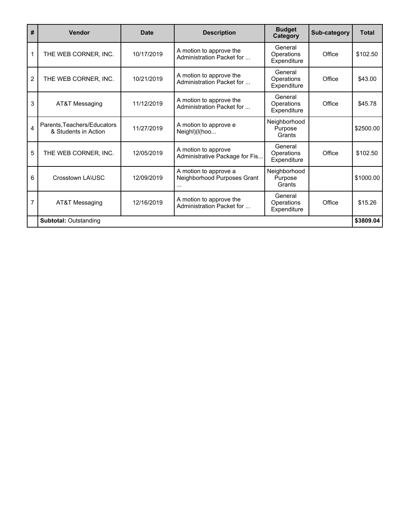| #              | <b>Vendor</b>                                       | <b>Date</b> | <b>Description</b>                                    | <b>Budget</b><br>Category            | Sub-category | <b>Total</b> |
|----------------|-----------------------------------------------------|-------------|-------------------------------------------------------|--------------------------------------|--------------|--------------|
| 1              | THE WEB CORNER, INC.                                | 10/17/2019  | A motion to approve the<br>Administration Packet for  | General<br>Operations<br>Expenditure | Office       | \$102.50     |
| $\overline{2}$ | THE WEB CORNER, INC.                                | 10/21/2019  | A motion to approve the<br>Administration Packet for  | General<br>Operations<br>Expenditure | Office       | \$43.00      |
| 3              | AT&T Messaging                                      | 11/12/2019  | A motion to approve the<br>Administration Packet for  | General<br>Operations<br>Expenditure | Office       | \$45.78      |
| 4              | Parents, Teachers/Educators<br>& Students in Action | 11/27/2019  | A motion to approve e<br>Neighl)(I(hoo                | Neighborhood<br>Purpose<br>Grants    |              | \$2500.00    |
| 5              | THE WEB CORNER, INC.                                | 12/05/2019  | A motion to approve<br>Administrative Package for Fis | General<br>Operations<br>Expenditure | Office       | \$102.50     |
| 6              | Crosstown LA\USC                                    | 12/09/2019  | A motion to approve a<br>Neighborhood Purposes Grant  | Neighborhood<br>Purpose<br>Grants    |              | \$1000.00    |
| 7              | AT&T Messaging                                      | 12/16/2019  | A motion to approve the<br>Administration Packet for  | General<br>Operations<br>Expenditure | Office       | \$15.26      |
|                | <b>Subtotal: Outstanding</b>                        |             |                                                       |                                      |              | \$3809.04    |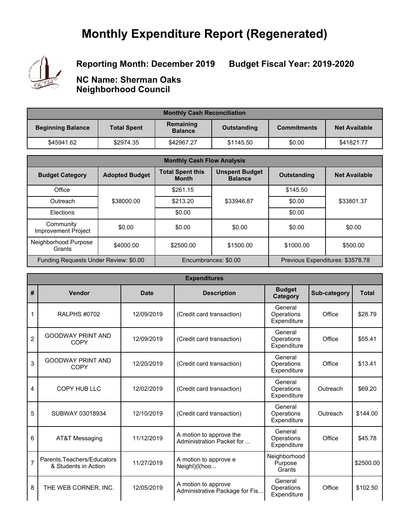# **Monthly Expenditure Report (Regenerated)**



# **Reporting Month: December 2019**

**Budget Fiscal Year: 2019-2020**

**NC Name: Sherman Oaks Neighborhood Council**

| <b>Monthly Cash Reconciliation</b> |                    |                             |             |                    |                      |  |  |
|------------------------------------|--------------------|-----------------------------|-------------|--------------------|----------------------|--|--|
| <b>Beginning Balance</b>           | <b>Total Spent</b> | Remaining<br><b>Balance</b> | Outstanding | <b>Commitments</b> | <b>Net Available</b> |  |  |
| \$45941.62                         | \$2974.35          | \$42967.27                  | \$1145.50   | \$0.00             | \$41821.77           |  |  |

| <b>Monthly Cash Flow Analysis</b>       |                       |                                         |                                         |                                  |                      |  |  |
|-----------------------------------------|-----------------------|-----------------------------------------|-----------------------------------------|----------------------------------|----------------------|--|--|
| <b>Budget Category</b>                  | <b>Adopted Budget</b> | <b>Total Spent this</b><br><b>Month</b> | <b>Unspent Budget</b><br><b>Balance</b> | <b>Outstanding</b>               | <b>Net Available</b> |  |  |
| Office                                  |                       | \$261.15                                |                                         | \$145.50                         |                      |  |  |
| Outreach                                | \$38000.00            | \$213.20                                | \$33946.87                              | \$0.00                           | \$33801.37           |  |  |
| Elections                               |                       | \$0.00                                  |                                         | \$0.00                           |                      |  |  |
| Community<br><b>Improvement Project</b> | \$0.00                | \$0.00                                  | \$0.00                                  | \$0.00                           | \$0.00               |  |  |
| Neighborhood Purpose<br>Grants          | \$4000.00             | \$2500.00                               | \$1500.00                               | \$1000.00                        | \$500.00             |  |  |
| Funding Requests Under Review: \$0.00   |                       |                                         | Encumbrances: \$0.00                    | Previous Expenditures: \$3578.78 |                      |  |  |

|                | <b>Expenditures</b>                                 |             |                                                       |                                      |              |              |  |  |  |
|----------------|-----------------------------------------------------|-------------|-------------------------------------------------------|--------------------------------------|--------------|--------------|--|--|--|
| #              | Vendor                                              | <b>Date</b> | <b>Description</b>                                    | <b>Budget</b><br>Category            | Sub-category | <b>Total</b> |  |  |  |
| 1              | <b>RALPHS #0702</b>                                 | 12/09/2019  | (Credit card transaction)                             | General<br>Operations<br>Expenditure | Office       | \$28.79      |  |  |  |
| $\overline{2}$ | <b>GOODWAY PRINT AND</b><br><b>COPY</b>             | 12/09/2019  | (Credit card transaction)                             | General<br>Operations<br>Expenditure | Office       | \$55.41      |  |  |  |
| 3              | <b>GOODWAY PRINT AND</b><br><b>COPY</b>             | 12/20/2019  | (Credit card transaction)                             | General<br>Operations<br>Expenditure | Office       | \$13.41      |  |  |  |
| 4              | <b>COPY HUB LLC</b>                                 | 12/02/2019  | (Credit card transaction)                             | General<br>Operations<br>Expenditure | Outreach     | \$69.20      |  |  |  |
| 5              | SUBWAY 03018934                                     | 12/10/2019  | (Credit card transaction)                             | General<br>Operations<br>Expenditure | Outreach     | \$144.00     |  |  |  |
| 6              | AT&T Messaging                                      | 11/12/2019  | A motion to approve the<br>Administration Packet for  | General<br>Operations<br>Expenditure | Office       | \$45.78      |  |  |  |
| $\overline{7}$ | Parents, Teachers/Educators<br>& Students in Action | 11/27/2019  | A motion to approve e<br>Neighl)(I(hoo                | Neighborhood<br>Purpose<br>Grants    |              | \$2500.00    |  |  |  |
| 8              | THE WEB CORNER, INC.                                | 12/05/2019  | A motion to approve<br>Administrative Package for Fis | General<br>Operations<br>Expenditure | Office       | \$102.50     |  |  |  |